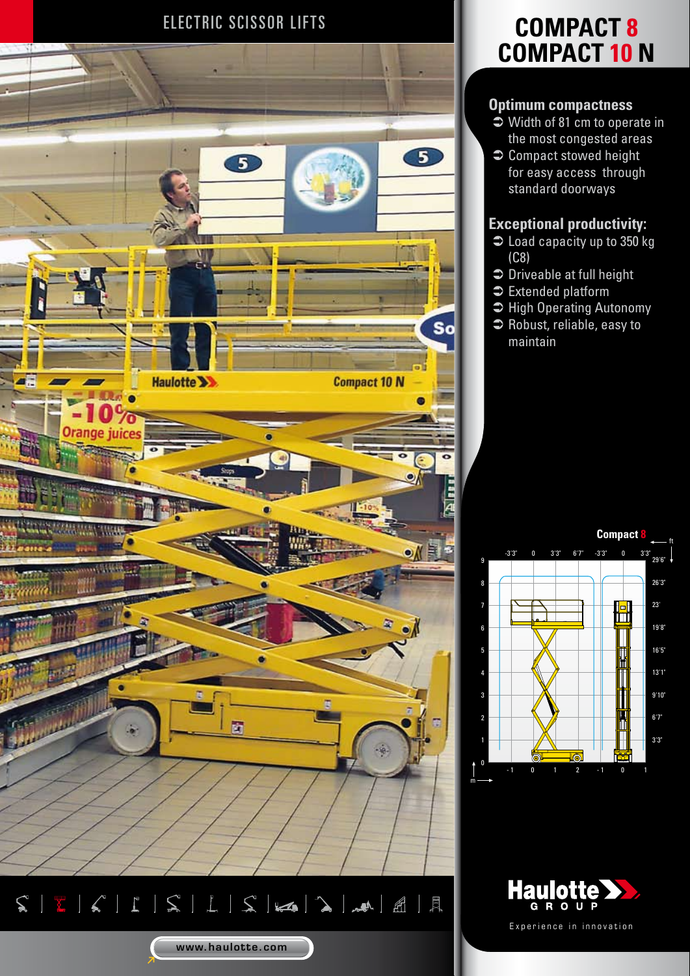

## ELECTRIC SCISSOR LIFTS **COMPACT 8 COMPACT 10 N**

### **Optimum compactness**

- $\heartsuit$  Width of 81 cm to operate in the most congested areas
- $\bullet$  Compact stowed height for easy access through standard doorways

### **Exceptional productivity:**

- $\bullet$  Load capacity up to 350 kg (C8)
- $\Rightarrow$  Driveable at full height
- $\bullet$  Extended platform
- $\supset$  High Operating Autonomy
- $\bullet$  Robust, reliable, easy to maintain